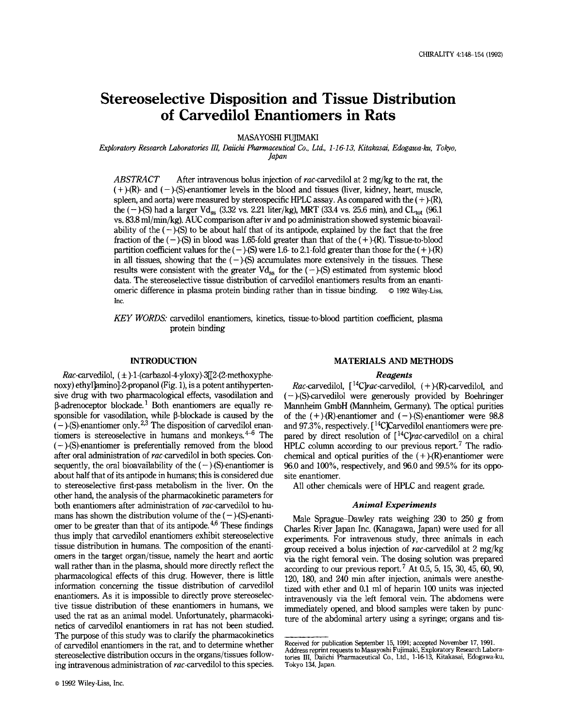# **Stereoselective Disposition and Tissue Distribution of Carvedilol Enantiomers in Rats**

**MASAYOSHI FUJIMAKI** 

*Exploratory Research Laboratories III, Daiichi Pharmaceutical Co., Ltd., 1-1 6-1 3, Kitakasai, Edogawa-ku, Tokyo, Japan* 

*ABSTRACT* After intravenous bolus injection of rac-carvedilol at 2 mg/kg to the rat, the  $(+)$ -(R)- and  $(-)$ -(S)-enantiomer levels in the blood and tissues (liver, kidney, heart, muscle, spleen, and aorta) were measured by stereospecific HPLC assay. As compared with the  $(+)$ -(R), the ( $-$ )-(S) had a larger Vd<sub>ss</sub> (3.32 vs. 2.21 liter/kg), MRT (33.4 vs. 25.6 min), and CL<sub>tot</sub> (96.1) vs. 83.8 ml/min/kg). AUC comparison after iv and **po** administration showed systemic bioavailability of the  $(-)$ -(S) to be about half that of its antipode, explained by the fact that the free fraction of the  $(-)$ -(S) in blood was 1.65-fold greater than that of the  $(+)$ -(R). Tissue-to-blood partition coefficient values for the  $(-)$ -(S) were 1.6- to 2.1-fold greater than those for the  $(+)$ -(R) in all tissues, showing that the  $(-)$ -(S) accumulates more extensively in the tissues. These results were consistent with the greater  $Vd_{ss}$  for the  $(-)$ -(S) estimated from systemic blood data. The stereoselective tissue distribution of carvedilol enantiomers results from an enantiomeric difference in plasma protein binding rather than in tissue binding.  $\circ$  1992 Wiley-Liss, Inc.

*KEY* WORDS: carvedilol enantiomers, kinetics, tissue-to-blood partition coefficient, plasma protein binding

# **INTRODUCTION**

Rac-carvedilol,  $(\pm)$ -1-(carbazol-4-yloxy)-3<sup>[[2</sup>-(2-methoxyphenoxy) ethyl]amino]-2-propanol (Fig. 1), is a potent antihypertensive drug with two pharmacological effects, vasodilation and  $\beta$ -adrenoceptor blockade.<sup>1</sup> Both enantiomers are equally responsible for vasodilation, while  $\beta$ -blockade is caused by the  $(-)$ -(S)-enantiomer only.<sup>2,3</sup> The disposition of carvedilol enantiomers is stereoselective in humans and monkeys.  $4-6$  The  $(-)$ -(S)-enantiomer is preferentially removed from the blood after oral administration of rac-carvedilol in both species. Consequently, the oral bioavailability of the  $(-)$ -(S)-enantiomer is about half that of its antipode in humans; this is considered due to stereoselective first-pass metabolism in the liver. On the other hand, the analysis of the pharmacokinetic parameters for both enantiomers after administration of rac-carvedilol to humans has shown the distribution volume of the  $(-)$ -(S)-enantiomer to be greater than that of its antipode. $4.6$  These findings thus imply that carvedilol enantiomers exhibit stereoselective tissue distribution in humans. The composition of the enantiomers in the target organ/tissue, namely the heart and aortic wall rather than in the plasma, should more directly reflect the pharmacological effects of this drug. However, there is little information concerning the tissue distribution of carvedilol enantiomers. As it is impossible to directly prove stereoselective tissue distribution of these enantiomers in humans, we used the rat as an animal model. Unfortunately, pharmacokinetics of carvedilol enantiomers in rat has not been studied. The purpose of this study was to clarify the pharmacokinetics of carvedilol enantiomers in the rat, and to determine whether stereoselective distribution occurs in the organs/tissues following intravenous administration of rac-carvedilol to this species.

#### **MATERIALS AND METHODS**

## *Reagents*

*Rac*-carvedilol,  $\int_1^{14}C\,rac{\cdot}{\cdot}c\,arc$ -carvedilol,  $(+)$ - $(R)$ -carvedilol, and  $(-)$ -(S)-carvedilol were generously provided by Boehringer Mannheim GmbH (Mannheim, Germany). The optical purities of the  $(+)$ -(R)-enantiomer and  $(-)$ -(S)-enantiomer were 98.8 and 97.3%, respectively. [<sup>14</sup>C]Carvedilol enantiomers were prepared by direct resolution of [<sup>14</sup>C]rac-carvedilol on a chiral HPLC column according to our previous report.<sup>7</sup> The radiochemical and optical purities of the  $(+)$ -(R)-enantiomer were 96.0 and loo%, respectively, and 96.0 and 99.5% for its opposite enantiomer.

All other chemicals were of HPLC and reagent grade.

#### *Animal Experiments*

Male Sprague-Dawley rats weighing  $230$  to  $250$  g from Charles River Japan Inc. (Kanagawa, Japan) were used for all experiments. For intravenous study, three animals in each group received a bolus injection of rac-carvedilol at 2 mg/kg via the right femoral vein. The dosing solution was prepared according to our previous report.<sup>7</sup> At 0.5, 5, 15, 30, 45, 60, 90, 120, 180, and 240 min after injection, animals were anesthetized with ether and 0.1 ml of heparin 100 units was injected intravenously via the left femoral vein. The abdomens were immediately opened, and blood samples were taken by puncture of the abdominal artery using a syringe; organs and tis-

Received for publication September **15,** 1991; accepted November 17, 1991.

Address reprint requests to Masayoshi Fujimaki, Exploratory Research Laboratories **111,** Daiichi Pharmaceutical Co., Ltd., **1-16-13,** Kitakasai, Edogawa-ku, Tokyo **134,** Japan.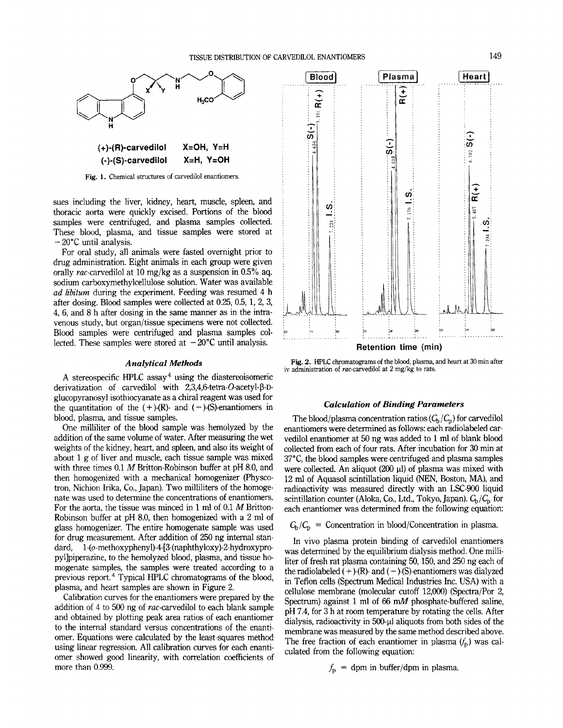

**Fig. 1.** Chemical structures **of** carvedilol enantiomers.

sues including the liver, kidney, heart, muscle, spleen, and thoracic aorta were quickly excised. Portions of the blood samples were centrifuged, and plasma samples collected. These blood, plasma, and tissue samples were stored at - 20°C until analysis.

For oral study, all animals were fasted overnight prior to drug administration. Eight animals in each group were given orally rac-carvedilol at 10 mg/kg as a suspension in 0.5% aq. sodium carboxymethylcellulose solution. Water was available *ad libitum* during the experiment. Feeding was resumed **4** h after dosing. Blood samples were collected at 0.25, 0.5, 1, 2, **3, 4,** 6, and 8 h after dosing in the same manner as in the intravenous study, but organ/tissue specimens were not collected. Blood samples were centrifuged and plasma samples collected. These samples were stored at  $-20^{\circ}$ C until analysis.

## *Analytical Methods*

A stereospecific HPLC assay<sup>4</sup> using the diastereoisomeric derivatization of carvedilol with **2,3,4,6-tetra-O-acetyl-P-D**glucopyranosyl isothiocyanate as a chiral reagent was used for the quantitation of the  $(+)$ -(R)- and  $(-)$ -(S)-enantiomers in blood, plasma, and tissue samples.

One milliliter of the blood sample was hemolyzed by the addition of the same volume of water. After measuring the wet weights of the kidney, heart, and spleen, and also its weight of about 1 g of liver and muscle, each tissue sample was mixed with three times 0.1 *M* Britton-Robinson buffer at pH 8.0, and then homogenized with a mechanical homogenizer (Physcotron, Nichion Irika, Co., Japan). Two milliliters of the homogenate was used to determine the concentrations of enantiomers. For the aorta, the tissue was minced in 1 ml of 0.1 *M* Britton-Robinson buffer at pH 8.0, then homogenized with a 2 ml of glass homogenizer. The entire homogenate sample was used for drug measurement. After addition of 250 ng internal standard, **l-(o-methoxyphenyl)-4-[3-(naphthyloxy)-2-hydroxypro**pyllpiperazine, to the hemolyzed blood, plasma, and tissue homogenate samples, the samples were treated according to a previous report.<sup>4</sup> Typical HPLC chromatograms of the blood, plasma, and heart samples are shown in Figure 2.

Calibration curves for the enantiomers were prepared by the addition of 4 to 500 ng of rac-carvedilol to each blank sample and obtained by plotting peak area ratios of each enantiomer to the internal standard versus concentrations of the enantiomer. Equations were calculated by the least-squares method using linear regression. All calibration curves for each enantiomer showed good linearity, with correlation coefficients of more than 0.999.



**Retention time (min)** 

**Fig. 2.** HPLC chromatograms **of** the blood, plasma, and heart at **30** min after iv administration of vac-carvedilol at **2** mg/kg to **rats.** 

# *Calculation of Binding Parameters*

The blood/plasma concentration ratios  $(C_b/C_p)$  for carvedilol enantiomers were determined as follows: each radiolabeled carvedilol enantiomer at 50 ng was added to 1 ml of blank blood collected from each of four rats. After incubation for *30* min at **37"C,** the blood samples were centrifuged and plasma samples were collected. An aliquot  $(200 \mu l)$  of plasma was mixed with 12 ml of Aquasol scintillation liquid (NEN, Boston, MA), and radioactivity was measured directly with an LSC-900 liquid scintillation counter (Aloka, Co., Ltd., Tokyo, Japan).  $C_b/C_p$  for each enantiomer was determined from the following equation:

 $C_b/C_p$  = Concentration in blood/Concentration in plasma.

In vivo plasma protein binding of carvedilol enantiomers was determined by the equilibrium dialysis method. One milliliter of fresh rat plasma containing 50, 150, and 250 ng each of the radiolabeled  $(+)$ -(R)- and  $(-)$ -(S)-enantiomers was dialyzed in Teflon cells (Spectrum Medical Industries Inc. USA) with a cellulose membrane (molecular cutoff 12,000) (Spectra/Por 2, Spectrum) against 1 ml of *66* **mM** phosphate-buffered saline, pH **7.4,** for **3** h at room temperature by rotating the cells. After dialysis, radioactivity in 500-µl aliquots from both sides of the membrane was measured by the same method described above. The free fraction of each enantiomer in plasma  $(f_p)$  was calculated from the following equation:

$$
f_p
$$
 = dpm in buffer/dpm in plasma.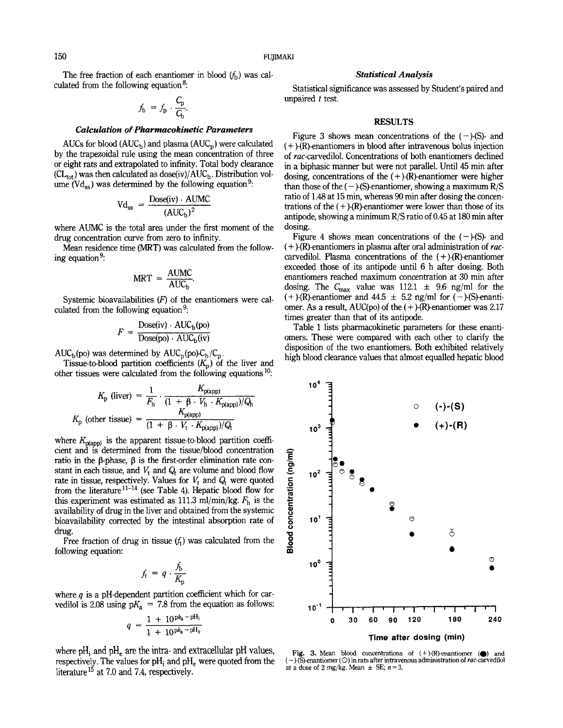The free fraction of each enantiomer in blood  $(f_h)$  was calculated from the following equation<sup>8</sup>:

$$
f_{\mathbf{b}} = f_{\mathbf{p}} \cdot \frac{C_{\mathbf{p}}}{C_{\mathbf{b}}}
$$

#### *Calculation of Pharmacokinetic Parameters*

AUCs for blood  $(AUC_b)$  and plasma  $(AUC_p)$  were calculated by the trapezoidal rule using the mean concentration of three or eight rats and extrapolated to infinity. Total body clearance  $CL_{tot}$ ) was then calculated as dose(iv)/ $AUC_b$ . Distribution volume ( $Vd_{\rm ss}$ ) was determined by the following equation<sup>9</sup>:

$$
Vd_{ss} = \frac{Dose(iv) \cdot AUMC}{(AUC_b)^2}
$$

where AUMC is the total area under the first moment of the drug concentration curve from zero to infinity.

Mean residence time (MRT) was calculated from the following equation<sup>9</sup>:

$$
MRT = \frac{AUMC}{AUC_b}.
$$

Systemic bioavailabilities (F) of the enantiomers were calculated from the following equation<sup>9</sup>:

$$
F = \frac{\text{Dose(iv)} \cdot \text{AUC}_{\text{b}}(\text{po})}{\text{Dose(po)} \cdot \text{AUC}_{\text{b}}(\text{iv})}
$$

 $AUC_{b}(po)$  was determined by  $AUC_{p}(p)$  $\mathcal{C}_{\text{p}}$ .

Tissue-to-blood partition coefficients  $(K_p)$  of the liver and other tissues were calculated from the following equations  $10$ :

$$
K_{\rm p} \text{ (liver)} = \frac{1}{F_{\rm h}} \cdot \frac{K_{\rm p (app)}}{(1 + \beta \cdot V_{\rm h} \cdot K_{\rm p (app)})/Q_{\rm h}}
$$

$$
K_{\rm p} \text{ (other tissue)} = \frac{K_{\rm p (app)}}{(1 + \beta \cdot V_{\rm t} \cdot K_{\rm p (app)})/Q_{\rm t}}
$$

where  $K_{p(\text{app})}$  is the apparent tissue-to-blood partition coefficient and is determined from the tissue/blood concentration ratio in the  $\beta$ -phase,  $\beta$  is the first-order elimination rate constant in each tissue, and  $V_t$  and  $Q_t$  are volume and blood flow rate in tissue, respectively. Values for  $V_t$  and  $Q_t$  were quoted from the literature  $11-14$  (see Table 4). Hepatic blood flow for this experiment was estimated as 111.3 ml/min/kg.  $F_h$  is the availability of drug in the liver and obtained from the systemic bioavailability corrected by the intestinal absorption rate of drug.

Free fraction of drug in tissue  $(f_t)$  was calculated from the following equation:

$$
f_{\rm t} = q \cdot \frac{f_{\rm b}}{K_{\rm p}}
$$

where *q* is a pH-dependent partition coefficient which for carvedilol is 2.08 using  $pK_a$  = 7.8 from the equation as follows:

$$
q = \frac{1 + 10^{p k_a - p H_i}}{1 + 10^{p k_a - p H_e}}
$$

where pH<sub>i</sub> and pH<sub>e</sub> are the intra- and extracellular pH values, respectively. The values for  $pH_i$  and  $pH_e$  were quoted from the literature<sup>15</sup> at 7.0 and 7.4, respectively.

## *Statistical Analysis*

Statistical significance was assessed by Student's paired and unpaired *t* test.

# **RESULTS**

Figure **3** shows mean concentrations of the *(-)-(S)-* and ( + )-(R)-enantiomers in blood after intravenous bolus injection of rac-carvedilol. Concentrations of both enantiomers declined in a biphasic manner but were not parallel. Until 45 min after dosing, concentrations of the  $(+)$ -(R)-enantiomer were higher than those of the  $(-)$ -(S)-enantiomer, showing a maximum R/S ratio of 1.48 at 15 min, whereas 90 min after dosing the concentrations of the  $(+)$ -(R)-enantiomer were lower than those of its antipode, showing a minimum R/S ratio of 0.45 at 180 min after dosing.

Figure 4 shows mean concentrations of the  $(-)$ -(S)- and ( + )-(R)-enantiomers in plasma after oral administration of *ruc*carvedilol. Plasma concentrations of the  $(+)$ -(R)-enantiomer exceeded those of its antipode until 6 h after dosing. Both enantiomers reached maximum concentration at 30 min after dosing. The  $C_{\text{max}}$  value was 112.1  $\pm$  9.6 ng/ml for the ( + )-(R)-enantiomer and  $44.5 \pm 5.2$  ng/ml for (- )-(S)-enantiomer. As a result, AUC(po) of the  $(+)$ -(R)-enantiomer was 2.17 times greater than that of its antipode.

Table 1 lists pharmacokinetic parameters for these enantiomers. These were compared with each other to clarify the disposition of the two enantiomers. Both exhibited relatively high blood clearance values that almost equalled hepatic blood



**Fig. 3.** Mean blood concentrations of (+)-(R)-enantiomer *(0)* and ( - )-(S)-enantiomer *(0)* in **rats** after intravenous administration of ruc-carvedilol at a dose of 2 mg/kg. Mean  $\pm$  SE;  $n=3$ .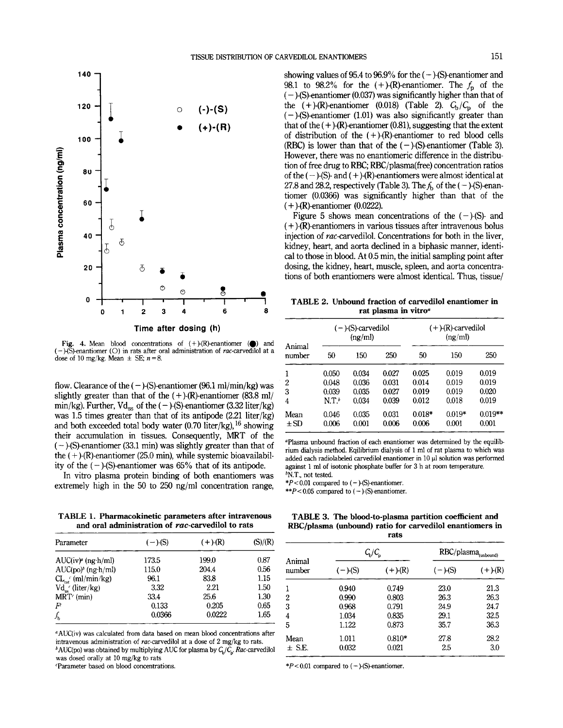

Fig. 4. Mean blood concentrations of  $(+)$ -(R)-enantiomer ( $\bigcirc$ ) and (-)-(S)-enantiomer (O) in rats after oral administration of *rac*-carvedilol at a dose of 10 mg/kg. Mean  $\pm$  SE;  $n = 8$ .

flow. Clearance of the  $(-)$ -(S)-enantiomer (96.1 ml/min/kg) was slightly greater than that of the  $(+)$ -(R)-enantiomer (83.8 ml/ min/kg). Further,  $Vd_{ss}$  of the  $(-)$ -(S)-enantiomer (3.32 liter/kg) was 1.5 times greater than that of its antipode (2.21 liter/kg) and both exceeded total body water (0.70 liter/kg), **l6** showing their accumulation in tissues. Consequently, MRT of the  $(-)$ -(S)-enantiomer (33.1 min) was slightly greater than that of the  $(+)$ -(R)-enantiomer (25.0 min), while systemic bioavailability of the  $(-)$ -(S)-enantiomer was 65% that of its antipode.

In vitro plasma protein binding of both enantiomers was extremely high in the 50 to 250 ng/ml concentration range,

**TABLE 1. Pharmacokinetic parameters after intravenous**  and oral administration of rac-carvedilol to rats

| (S)/(R) |
|---------|
| 0.87    |
| 0.56    |
| 1.15    |
| 1.50    |
| 1.30    |
| 0.65    |
| 1.65    |
|         |

"AUC(iv) was calculated from data based on mean blood concentrations after intravenous administration of rac-carvedilol at a dose of 2 mg/kg to rats.

 ${}^b$ AUC(po) was obtained by multiplying AUC for plasma by  $C_p/C_p$ . *Rac-carvedilol* was dosed orally at 10 mg/kg to rats

'Parameter based on blood concentrations.

showing values of 95.4 to 96.9% for the  $(-)$ -(S)-enantiomer and 98.1 to 98.2% for the  $(+)$ -(R)-enantiomer. The  $f<sub>p</sub>$  of the  $(-)$ -(S)-enantiomer (0.037) was significantly higher than that of the  $(+)$ -(R)-enantiomer (0.018) (Table 2).  $C_b/C_p$  of the  $(-)$ -(S)-enantiomer (1.01) was also significantly greater than that of the  $(+)$ -(R)-enantiomer (0.81), suggesting that the extent of distribution of the  $(+)$ -(R)-enantiomer to red blood cells (RBC) is lower than that of the  $(-)$ -(S)-enantiomer (Table 3). However, there was no enantiomeric difference in the distribution of free drug to RBC; RBC/plasma(free) concentration ratios of the  $(-)$ -(S)- and  $(+)$ -(R)-enantiomers were almost identical at 27.8 and 28.2, respectively (Table 3). The  $f<sub>b</sub>$  of the ( - )-(S)-enantiomer (0.0366) was significantly higher than that of the  $(+)$ -(R)-enantiomer (0.0222).

Figure 5 shows mean concentrations of the  $(-)$ -(S)- and  $(+)$ -(R)-enantiomers in various tissues after intravenous bolus injection of rac-carvedilol. Concentrations for both in the liver, kidney, heart, and aorta declined in a biphasic manner, identical to those in blood. At 0.5 min, the initial sampling point after dosing, the kidney, heart, muscle, spleen, and aorta concentrations of both enantiomers were almost identical. Thus, tissue/

**TABLE 2. Unbound fraction of carvedilol enantiomer in** 

| Animal<br>number | ( – )-(S)-carvedilol<br>(ng/ml) |       |       | $(+)$ - $(R)$ -carvedilol<br>(ng/ml) |          |           |  |
|------------------|---------------------------------|-------|-------|--------------------------------------|----------|-----------|--|
|                  | 50                              | 150   | 250   | 50                                   | 150      | 250       |  |
| 1                | 0.050                           | 0.034 | 0.027 | 0.025                                | 0.019    | 0.019     |  |
| 2                | 0.048                           | 0.036 | 0.031 | 0.014                                | 0.019    | 0.019     |  |
| 3                | 0.039                           | 0.035 | 0.027 | 0.019                                | 0.019    | 0.020     |  |
| 4                | $NT^b$                          | 0.034 | 0.039 | 0.012                                | 0.018    | 0.019     |  |
| Mean             | 0.046                           | 0.035 | 0.031 | $0.018*$                             | $0.019*$ | $0.019**$ |  |
| $\pm$ SD         | 0.006                           | 0.001 | 0.006 | 0.006                                | 0.001    | 0.001     |  |

"Plasma unbound fraction of each enantiomer was determined by the equilibrium dialysis method. Eqilibrium dialysis of 1 ml of rat plasma to which was added each radiolabeled carvedilol enantiomer in 10 **p1** solution was performed against 1 **ml** of isotonic phosphate buffer for **3** h at room temperature. **bN.T.,** not tested.

\*P<0.01 compared to (-)-(S)-enantiomer.

 $*p$  < 0.05 compared to  $(-)$ -(S)-enantiomer.

**TABLE 3. The blood-to-plasma partition coefficient and RBC/plasma (unbound) ratio for carvedilol enantiomers in rats** 

|                  |           | $C_p/C_p$  | $RBC/plasma$ <sub>(unbound)</sub> |               |  |
|------------------|-----------|------------|-----------------------------------|---------------|--|
| Animal<br>number | $(-)-(S)$ | $(+)$ -(R) | $(-)-(S)$                         | $(+)$ - $(R)$ |  |
|                  | 0.940     | 0.749      | 23.0                              | 21.3          |  |
| 2                | 0.990     | 0.803      | 26.3                              | 26.3          |  |
| 3                | 0.968     | 0.791      | 24.9                              | 24.7          |  |
| 4                | 1.034     | 0.835      | 29.1                              | 32.5          |  |
| 5                | 1.122     | 0.873      | 35.7                              | 36.3          |  |
| Mean             | 1.011     | $0.810*$   | 27.8                              | 28.2          |  |
| $\pm$ S.E.       | 0.032     | 0.021      | 2.5                               | 3.0           |  |
|                  |           |            |                                   |               |  |

 $*P < 0.01$  compared to  $(-)$ -(S)-enantiomer.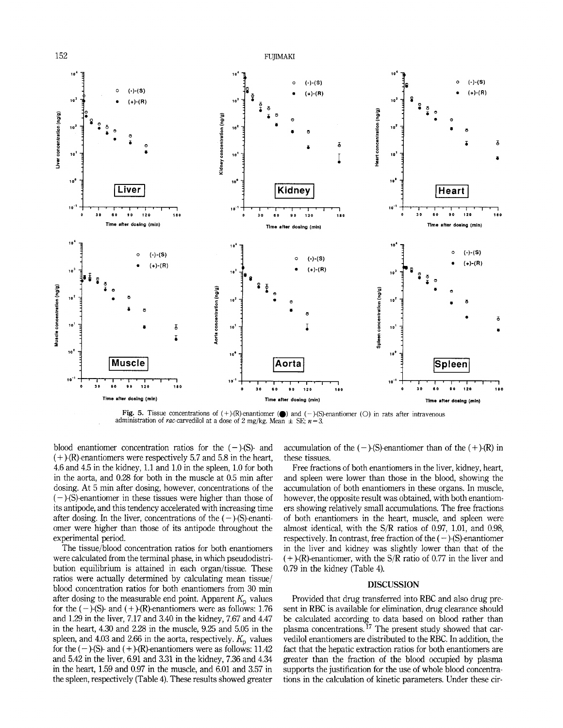

**Fig. 5.** Tissue concentrations of (+)-(R)-enantiomer *(0)* and (-)-(S)-enantiomer (0) in rats after intravenous administration of rac-carvedilol at a dose of 2 mg/kg. Mean  $\pm$  SE,  $n = 3$ .

blood enantiomer concentration ratios for the  $(-)$ -(S)- and  $(+)$ -(R)-enantiomers were respectively 5.7 and 5.8 in the heart, 4.6 and 4.5 in the kidney, 1.1 and 1.0 in the spleen, 1.0 for both in the aorta, and 0.28 for both in the muscle at 0.5 min after dosing. At 5 min after dosing, however, concentrations of the  $(-)$ -(S)-enantiomer in these tissues were higher than those of its antipode, and this tendency accelerated with increasing time after dosing. In the liver, concentrations of the  $(-)$ -(S)-enantiomer were higher than those of its antipode throughout the experimental period.

The tissue/blood concentration ratios for both enantiomers were calculated from the terminal phase, in which pseudodistribution equilibrium is attained in each organ/tissue. These ratios were actually determined by calculating mean tissue/ blood concentration ratios for both enantiomers from 30 min after dosing to the measurable end point. Apparent  $K_p$  values for the  $(-)$ -(S)- and  $(+)$ -(R)-enantiomers were as follows: 1.76 and 1.29 in the liver, 7.17 and **3.40** in the kidney, 7.67 and 4.47 in the heart, 4.30 and 2.28 in the muscle, 9.25 and 5.05 in the spleen, and 4.03 and 2.66 in the aorta, respectively.  $K_p$  values for the  $(-)$ -(S)- and  $(+)$ -(R)-enantiomers were as follows: 11.42 and 5.42 in the liver, 6.91 and 3.31 in the kidney, 7.36 and 4.34 in the heart, 1.59 and 0.97 in the muscle, and 6.01 and 3.57 in the spleen, respectively (Table 4). These results showed greater

accumulation of the  $(-)$ -(S)-enantiomer than of the  $(+)$ -(R) in these tissues.

Free fractions of both enantiomers in the liver, kidney, heart, and spleen were lower than those in the blood, showing the accumulation of both enantiomers in these organs. In muscle, however, the opposite result was obtained, with both enantiomers showing relatively small accumulations. The free fractions of both enantiomers in the heart, muscle, and spleen were almost identical, with the S/R ratios of 0.97, 1.01, and 0.98, respectively. In contrast, free fraction of the  $(-)$ -(S)-enantiomer in the liver and kidney was slightly lower than that of the  $(+)$ -(R)-enantiomer, with the S/R ratio of 0.77 in the liver and 0.79 in the kidney (Table 4).

# **DISCUSSION**

Provided that drug transferred into RBC and also drug present in RBC is available for elimination, drug clearance should be calculated according to data based on blood rather than plasma concentrations. **l7** The present study showed that carvedilol enantiomers are distributed to the REX. In addition, the fact that the hepatic extraction ratios for both enantiomers are greater than the fraction of the blood occupied by plasma supports the justification for the use of whole blood concentrations in the calculation of kinetic parameters. Under these cir-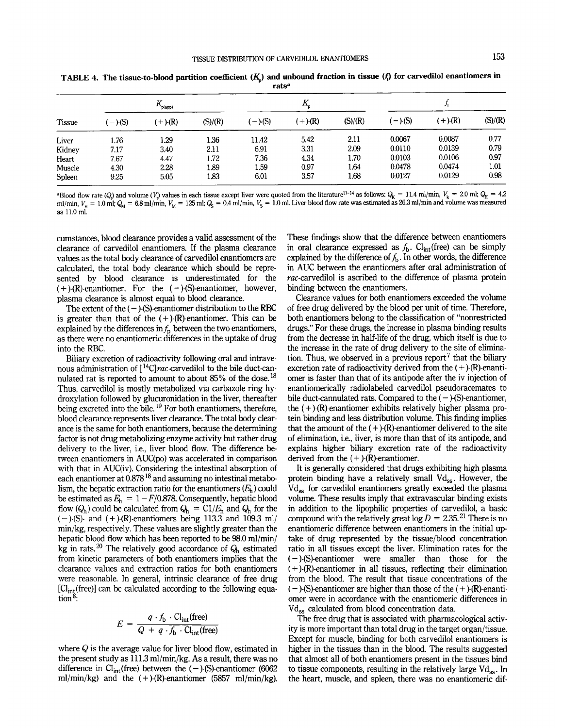| raw           |                     |             |         |           |            |         |            |            |         |
|---------------|---------------------|-------------|---------|-----------|------------|---------|------------|------------|---------|
| <b>Tissue</b> | $K_{_{\sf p(app)}}$ |             |         |           |            |         |            |            |         |
|               | $-$ )-(S)           | $(+)$ $(R)$ | (S)/(R) | $(-)-(S)$ | $(+)$ -(R) | (S)/(R) | $(-)$ -(S) | $(+)$ -(R) | (S)/(R) |
| Liver         | 1.76                | 1.29        | 1.36    | 11.42     | 5.42       | 2.11    | 0.0067     | 0.0087     | 0.77    |
| Kidney        | 7.17                | 3.40        | 2.11    | 6.91      | 3.31       | 2.09    | 0.0110     | 0.0139     | 0.79    |
| Heart         | 7.67                | 4.47        | 1.72    | 7.36      | 4.34       | 1.70    | 0.0103     | 0.0106     | 0.97    |
| Muscle        | 4.30                | 2.28        | 1.89    | 1.59      | 0.97       | 1.64    | 0.0478     | 0.0474     | 1.01    |
| Spleen        | 9.25                | 5.05        | 1.83    | 6.01      | 3.57       | 1.68    | 0.0127     | 0.0129     | 0.98    |

TABLE 4. The tissue-to-blood partition coefficient  $(K_n)$  and unbound fraction in tissue  $(f_n)$  for carvedilol enantiomers in **rats"** 

"Blood flow rate *(Q)* and volume *(V<sub>i</sub>)* values in each tissue except liver were quoted from the literature<sup>11-14</sup> as follows:  $Q_K = 11.4$  ml/min,  $V_k = 2.0$  ml;  $Q_H = 4.2$ ml/min,  $V_{\rm H} = 1.0$  ml;  $Q_{\rm M} = 6.8$  ml/min,  $V_{\rm M} = 125$  ml;  $Q_{\rm S} = 0.4$  ml/min,  $V_{\rm S} = 1.0$  ml. Liver blood flow rate was estimated as 26.3 ml/min and volume was measured as 11.0 ml.

cumstances, blood clearance provides a valid assessment of the clearance of carvedilol enantiomers. If the plasma clearance values as the total body clearance of carvedilol enantiomers are calculated, the total body clearance which should be represented by blood clearance is underestimated for the  $(+)$ -(R)-enantiomer. For the  $(-)$ -(S)-enantiomer, however, plasma clearance is almost equal to blood clearance.

The extent of the  $(-)$ -(S)-enantiomer distribution to the RBC is greater than that of the  $(+)$ -(R)-enantiomer. This can be explained by the differences in  $f<sub>p</sub>$  between the two enantiomers, as there were no enantiomeric differences in the uptake of drug into the RBC.

Biliary excretion of radioactivity following oral and intravenous administration of  $[$ <sup>14</sup>C]*rac*-carvedilol to the bile duct-cannulated rat is reported to amount to about  $85\%$  of the dose.<sup>18</sup> Thus, carvedilol is mostly metabolized via carbazole ring hydroxylation followed by glucuronidation in the liver, thereafter being excreted into the bile.<sup>19</sup> For both enantiomers, therefore, blood clearance represents liver clearance. The total body clearance is the same for both enantiomers, because the determining factor is not drug metabolizing enzyme activity but rather drug delivery to the liver, i.e., liver blood flow. The difference between enantiomers in AUC(po) was accelerated in comparison with that in AUC(iv). Considering the intestinal absorption of each enantiomer at  $0.878^{18}$  and assuming no intestinal metabolism, the hepatic extraction ratio for the enantiomers  $(E_h)$  could be estimated as  $E_h = 1 - F/0.878$ . Consequently, hepatic blood flow  $(Q_h)$  could be calculated from  $Q_h = C1/E_h$  and  $Q_h$  for the  $(-)$ -(S)- and  $(+)$ -(R)-enantiomers being 113.3 and 109.3 ml/ min/kg, respectively. These values are slightly greater than the hepatic blood flow which has been reported to be 98.0 ml/min/ kg in rats.<sup>20</sup> The relatively good accordance of  $Q_h$  estimated from kinetic parameters of both enantiomers implies that the clearance values and extraction ratios for both enantiomers were reasonable. In general, intrinsic clearance of **free** drug  $[Cl_{int}(free)]$  can be calculated according to the following equation<sup>8</sup>:

$$
E = \frac{q \cdot f_{\rm b} \cdot \text{Cl}_{\text{int}}(\text{free})}{Q + q \cdot f_{\rm b} \cdot \text{Cl}_{\text{int}}(\text{free})}
$$

where  $Q$  is the average value for liver blood flow, estimated in the present study as 111.3 ml/min/kg. As a result, there was no difference in  $Cl_{int}(free)$  between the  $(-)$ -(S)-enantiomer (6062 ml/min/kg) and the  $(+)$ -(R)-enantiomer (5857 ml/min/kg).

These findings show that the difference between enantiomers in oral clearance expressed as  $f<sub>b</sub>$ . Cl<sub>int</sub>(free) can be simply explained by the difference of  $f<sub>b</sub>$ . In other words, the difference in AUC between the enantiomers after oral administration of  $rac$ -carvedilol is ascribed to the difference of plasma protein binding between the enantiomers.

Clearance values for both enantiomers exceeded the volume of free drug delivered by the blood per unit of time. Therefore, both enantiomers belong to the classification of "nonrestricted drugs." For these drugs, the increase in plasma binding results from the decrease in half-life of the drug, which itself is due to the increase in the rate of drug delivery to the site of elimination. Thus, we observed in a previous report<sup>7</sup> that the biliary excretion rate of radioactivity derived from the  $(+)$ -(R)-enantiomer is faster than that of its antipode after the iv injection of enantiomerically radiolabeled carvedilol pseudoracemates to bile duct-cannulated rats. Compared to the  $(-)$ -(S)-enantiomer, the  $(+)$ -(R)-enantiomer exhibits relatively higher plasma protein binding and less distribution volume. This finding implies that the amount of the  $(+)$ -(R)-enantiomer delivered to the site of elimination, i.e., liver, is more than that of its antipode, and explains higher biliary excretion rate of the radioactivity derived from the  $(+)$ - $(R)$ -enantiomer.

It is generally considered that drugs exhibiting high plasma protein binding have a relatively small  $Vd_{ss}$ . However, the Vd<sub>ss</sub> for carvedilol enantiomers greatly exceeded the plasma volume. These results imply that extravascular binding exists in addition to the lipophilic properties of carvedilol, a basic compound with the relatively great  $log D = 2.35^{21}$  There is no enantiomeric difference between enantiomers in the initial uptake of drug represented by the tissue/blood concentration ratio in all tissues except the liver. Elimination rates for the  $(-)$ -(S)-enantiomer were smaller than those for the  $(+)$ -(R)-enantiomer in all tissues, reflecting their elimination from the blood. The result that tissue concentrations of the  $(-)$ -(S)-enantiomer are higher than those of the  $(+)$ -(R)-enantiomer were in accordance with the enantiomeric differences in Vd<sub>ss</sub> calculated from blood concentration data.

The **free** drug that is associated with pharmacological activity is more important than total drug in the target organ/tissue. Except for muscle, binding for both carvedilol enantiomers is higher in the tissues than in the blood. The results suggested that almost all of both enantiomers present in the tissues bind to tissue components, resulting in the relatively large  $Vd_{\infty}$ . In the heart, muscle, and spleen, there was no enantiomeric dif